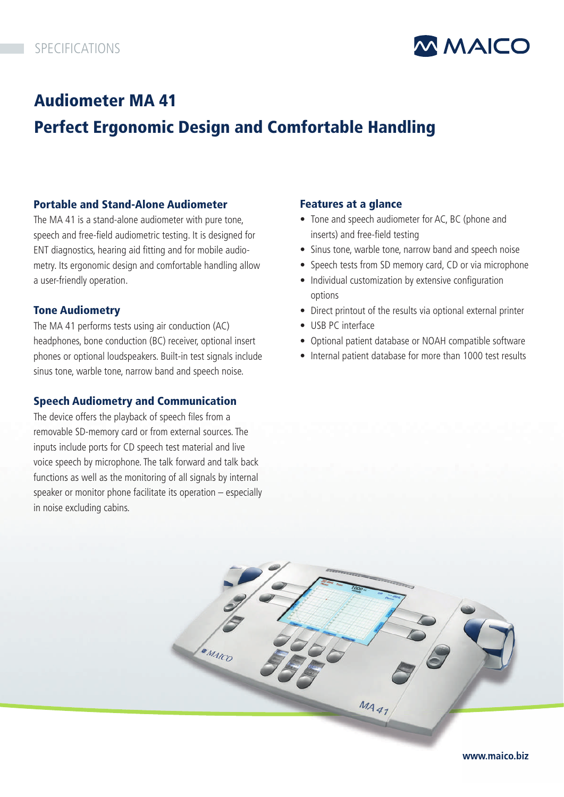

# Audiometer MA 41 Perfect Ergonomic Design and Comfortable Handling

## Portable and Stand-Alone Audiometer

The MA 41 is a stand-alone audiometer with pure tone, speech and free-field audiometric testing. It is designed for ENT diagnostics, hearing aid fitting and for mobile audiometry. Its ergonomic design and comfortable handling allow a user-friendly operation.

## Tone Audiometry

The MA 41 performs tests using air conduction (AC) headphones, bone conduction (BC) receiver, optional insert phones or optional loudspeakers. Built-in test signals include sinus tone, warble tone, narrow band and speech noise.

## Speech Audiometry and Communication

The device offers the playback of speech files from a removable SD-memory card or from external sources. The inputs include ports for CD speech test material and live voice speech by microphone. The talk forward and talk back functions as well as the monitoring of all signals by internal speaker or monitor phone facilitate its operation – especially in noise excluding cabins.

## Features at a glance

- Tone and speech audiometer for AC, BC (phone and inserts) and free-field testing
- Sinus tone, warble tone, narrow band and speech noise
- Speech tests from SD memory card, CD or via microphone
- Individual customization by extensive configuration options
- Direct printout of the results via optional external printer
- USB PC interface
- Optional patient database or NOAH compatible software
- Internal patient database for more than 1000 test results